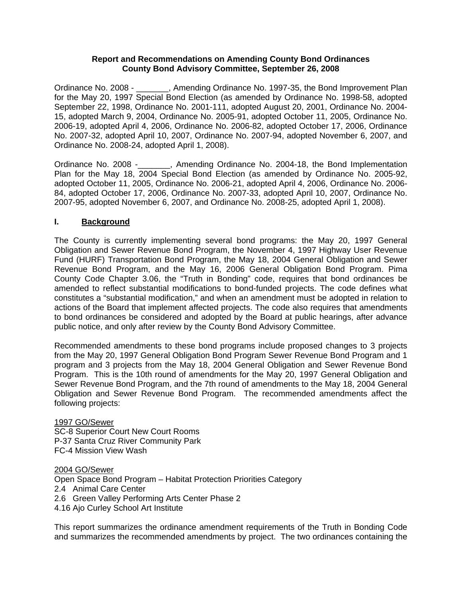### **Report and Recommendations on Amending County Bond Ordinances County Bond Advisory Committee, September 26, 2008**

Ordinance No. 2008 - \_\_\_\_\_\_\_, Amending Ordinance No. 1997-35, the Bond Improvement Plan for the May 20, 1997 Special Bond Election (as amended by Ordinance No. 1998-58, adopted September 22, 1998, Ordinance No. 2001-111, adopted August 20, 2001, Ordinance No. 2004- 15, adopted March 9, 2004, Ordinance No. 2005-91, adopted October 11, 2005, Ordinance No. 2006-19, adopted April 4, 2006, Ordinance No. 2006-82, adopted October 17, 2006, Ordinance No. 2007-32, adopted April 10, 2007, Ordinance No. 2007-94, adopted November 6, 2007, and Ordinance No. 2008-24, adopted April 1, 2008).

Ordinance No. 2008 -\_\_\_\_\_\_\_, Amending Ordinance No. 2004-18, the Bond Implementation Plan for the May 18, 2004 Special Bond Election (as amended by Ordinance No. 2005-92, adopted October 11, 2005, Ordinance No. 2006-21, adopted April 4, 2006, Ordinance No. 2006- 84, adopted October 17, 2006, Ordinance No. 2007-33, adopted April 10, 2007, Ordinance No. 2007-95, adopted November 6, 2007, and Ordinance No. 2008-25, adopted April 1, 2008).

### **I. Background**

The County is currently implementing several bond programs: the May 20, 1997 General Obligation and Sewer Revenue Bond Program, the November 4, 1997 Highway User Revenue Fund (HURF) Transportation Bond Program, the May 18, 2004 General Obligation and Sewer Revenue Bond Program, and the May 16, 2006 General Obligation Bond Program. Pima County Code Chapter 3.06, the "Truth in Bonding" code, requires that bond ordinances be amended to reflect substantial modifications to bond-funded projects. The code defines what constitutes a "substantial modification," and when an amendment must be adopted in relation to actions of the Board that implement affected projects. The code also requires that amendments to bond ordinances be considered and adopted by the Board at public hearings, after advance public notice, and only after review by the County Bond Advisory Committee.

Recommended amendments to these bond programs include proposed changes to 3 projects from the May 20, 1997 General Obligation Bond Program Sewer Revenue Bond Program and 1 program and 3 projects from the May 18, 2004 General Obligation and Sewer Revenue Bond Program. This is the 10th round of amendments for the May 20, 1997 General Obligation and Sewer Revenue Bond Program, and the 7th round of amendments to the May 18, 2004 General Obligation and Sewer Revenue Bond Program. The recommended amendments affect the following projects:

1997 GO/Sewer SC-8 Superior Court New Court Rooms P-37 Santa Cruz River Community Park FC-4 Mission View Wash

2004 GO/Sewer

Open Space Bond Program – Habitat Protection Priorities Category 2.4 Animal Care Center

2.6 Green Valley Performing Arts Center Phase 2

4.16 Ajo Curley School Art Institute

This report summarizes the ordinance amendment requirements of the Truth in Bonding Code and summarizes the recommended amendments by project. The two ordinances containing the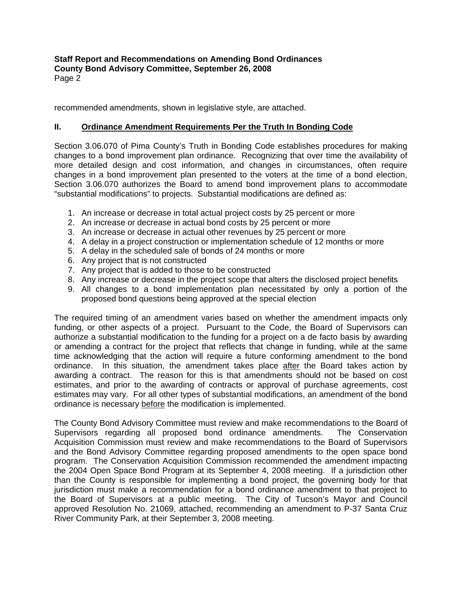**Staff Report and Recommendations on Amending Bond Ordinances County Bond Advisory Committee, September 26, 2008**  Page 2

recommended amendments, shown in legislative style, are attached.

# **II. Ordinance Amendment Requirements Per the Truth In Bonding Code**

Section 3.06.070 of Pima County's Truth in Bonding Code establishes procedures for making changes to a bond improvement plan ordinance. Recognizing that over time the availability of more detailed design and cost information, and changes in circumstances, often require changes in a bond improvement plan presented to the voters at the time of a bond election, Section 3.06.070 authorizes the Board to amend bond improvement plans to accommodate "substantial modifications" to projects. Substantial modifications are defined as:

- 1. An increase or decrease in total actual project costs by 25 percent or more
- 2. An increase or decrease in actual bond costs by 25 percent or more
- 3. An increase or decrease in actual other revenues by 25 percent or more
- 4. A delay in a project construction or implementation schedule of 12 months or more
- 5. A delay in the scheduled sale of bonds of 24 months or more
- 6. Any project that is not constructed
- 7. Any project that is added to those to be constructed
- 8. Any increase or decrease in the project scope that alters the disclosed project benefits
- 9. All changes to a bond implementation plan necessitated by only a portion of the proposed bond questions being approved at the special election

The required timing of an amendment varies based on whether the amendment impacts only funding, or other aspects of a project. Pursuant to the Code, the Board of Supervisors can authorize a substantial modification to the funding for a project on a de facto basis by awarding or amending a contract for the project that reflects that change in funding, while at the same time acknowledging that the action will require a future conforming amendment to the bond ordinance. In this situation, the amendment takes place after the Board takes action by awarding a contract. The reason for this is that amendments should not be based on cost estimates, and prior to the awarding of contracts or approval of purchase agreements, cost estimates may vary. For all other types of substantial modifications, an amendment of the bond ordinance is necessary before the modification is implemented.

The County Bond Advisory Committee must review and make recommendations to the Board of Supervisors regarding all proposed bond ordinance amendments. The Conservation Acquisition Commission must review and make recommendations to the Board of Supervisors and the Bond Advisory Committee regarding proposed amendments to the open space bond program. The Conservation Acquisition Commission recommended the amendment impacting the 2004 Open Space Bond Program at its September 4, 2008 meeting. If a jurisdiction other than the County is responsible for implementing a bond project, the governing body for that jurisdiction must make a recommendation for a bond ordinance amendment to that project to the Board of Supervisors at a public meeting. The City of Tucson's Mayor and Council approved Resolution No. 21069, attached, recommending an amendment to P-37 Santa Cruz River Community Park, at their September 3, 2008 meeting.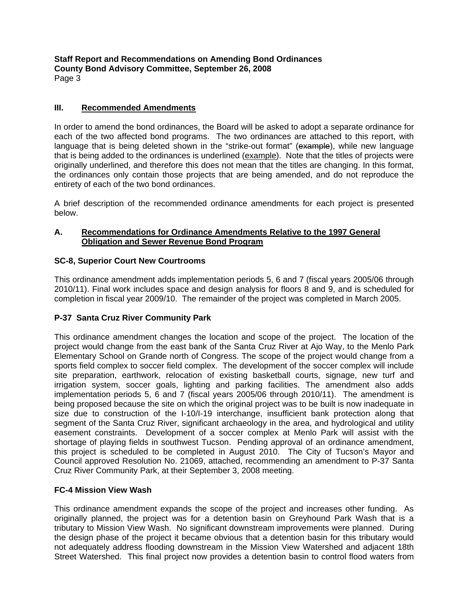**Staff Report and Recommendations on Amending Bond Ordinances County Bond Advisory Committee, September 26, 2008**  Page 3

# **III. Recommended Amendments**

In order to amend the bond ordinances, the Board will be asked to adopt a separate ordinance for each of the two affected bond programs. The two ordinances are attached to this report, with language that is being deleted shown in the "strike-out format" (example), while new language that is being added to the ordinances is underlined (example). Note that the titles of projects were originally underlined, and therefore this does not mean that the titles are changing. In this format, the ordinances only contain those projects that are being amended, and do not reproduce the entirety of each of the two bond ordinances.

A brief description of the recommended ordinance amendments for each project is presented below.

# **A. Recommendations for Ordinance Amendments Relative to the 1997 General Obligation and Sewer Revenue Bond Program**

# **SC-8, Superior Court New Courtrooms**

This ordinance amendment adds implementation periods 5, 6 and 7 (fiscal years 2005/06 through 2010/11). Final work includes space and design analysis for floors 8 and 9, and is scheduled for completion in fiscal year 2009/10. The remainder of the project was completed in March 2005.

# **P-37 Santa Cruz River Community Park**

This ordinance amendment changes the location and scope of the project. The location of the project would change from the east bank of the Santa Cruz River at Ajo Way, to the Menlo Park Elementary School on Grande north of Congress. The scope of the project would change from a sports field complex to soccer field complex. The development of the soccer complex will include site preparation, earthwork, relocation of existing basketball courts, signage, new turf and irrigation system, soccer goals, lighting and parking facilities. The amendment also adds implementation periods 5, 6 and 7 (fiscal years 2005/06 through 2010/11). The amendment is being proposed because the site on which the original project was to be built is now inadequate in size due to construction of the I-10/I-19 interchange, insufficient bank protection along that segment of the Santa Cruz River, significant archaeology in the area, and hydrological and utility easement constraints. Development of a soccer complex at Menlo Park will assist with the shortage of playing fields in southwest Tucson. Pending approval of an ordinance amendment, this project is scheduled to be completed in August 2010. The City of Tucson's Mayor and Council approved Resolution No. 21069, attached, recommending an amendment to P-37 Santa Cruz River Community Park, at their September 3, 2008 meeting.

# **FC-4 Mission View Wash**

This ordinance amendment expands the scope of the project and increases other funding. As originally planned, the project was for a detention basin on Greyhound Park Wash that is a tributary to Mission View Wash. No significant downstream improvements were planned. During the design phase of the project it became obvious that a detention basin for this tributary would not adequately address flooding downstream in the Mission View Watershed and adjacent 18th Street Watershed. This final project now provides a detention basin to control flood waters from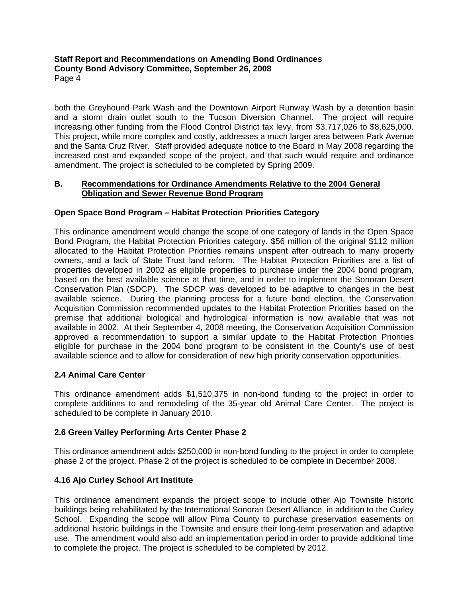**Staff Report and Recommendations on Amending Bond Ordinances County Bond Advisory Committee, September 26, 2008**  Page 4

both the Greyhound Park Wash and the Downtown Airport Runway Wash by a detention basin and a storm drain outlet south to the Tucson Diversion Channel. The project will require increasing other funding from the Flood Control District tax levy, from \$3,717,026 to \$8,625,000. This project, while more complex and costly, addresses a much larger area between Park Avenue and the Santa Cruz River. Staff provided adequate notice to the Board in May 2008 regarding the increased cost and expanded scope of the project, and that such would require and ordinance amendment. The project is scheduled to be completed by Spring 2009.

### **B. Recommendations for Ordinance Amendments Relative to the 2004 General Obligation and Sewer Revenue Bond Program**

# **Open Space Bond Program – Habitat Protection Priorities Category**

This ordinance amendment would change the scope of one category of lands in the Open Space Bond Program, the Habitat Protection Priorities category. \$56 million of the original \$112 million allocated to the Habitat Protection Priorities remains unspent after outreach to many property owners, and a lack of State Trust land reform. The Habitat Protection Priorities are a list of properties developed in 2002 as eligible properties to purchase under the 2004 bond program, based on the best available science at that time, and in order to implement the Sonoran Desert Conservation Plan (SDCP). The SDCP was developed to be adaptive to changes in the best available science. During the planning process for a future bond election, the Conservation Acquisition Commission recommended updates to the Habitat Protection Priorities based on the premise that additional biological and hydrological information is now available that was not available in 2002. At their September 4, 2008 meeting, the Conservation Acquisition Commission approved a recommendation to support a similar update to the Habitat Protection Priorities eligible for purchase in the 2004 bond program to be consistent in the County's use of best available science and to allow for consideration of new high priority conservation opportunities.

# **2.4 Animal Care Center**

This ordinance amendment adds \$1,510,375 in non-bond funding to the project in order to complete additions to and remodeling of the 35-year old Animal Care Center. The project is scheduled to be complete in January 2010.

# **2.6 Green Valley Performing Arts Center Phase 2**

This ordinance amendment adds \$250,000 in non-bond funding to the project in order to complete phase 2 of the project. Phase 2 of the project is scheduled to be complete in December 2008.

# **4.16 Ajo Curley School Art Institute**

This ordinance amendment expands the project scope to include other Ajo Townsite historic buildings being rehabilitated by the International Sonoran Desert Alliance, in addition to the Curley School. Expanding the scope will allow Pima County to purchase preservation easements on additional historic buildings in the Townsite and ensure their long-term preservation and adaptive use. The amendment would also add an implementation period in order to provide additional time to complete the project. The project is scheduled to be completed by 2012.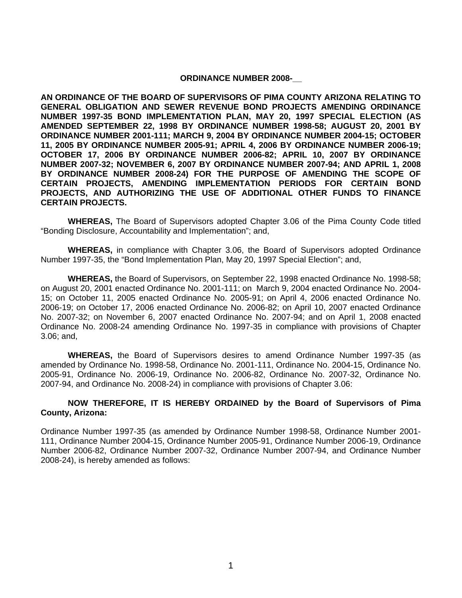#### **ORDINANCE NUMBER 2008-**

**AN ORDINANCE OF THE BOARD OF SUPERVISORS OF PIMA COUNTY ARIZONA RELATING TO GENERAL OBLIGATION AND SEWER REVENUE BOND PROJECTS AMENDING ORDINANCE NUMBER 1997-35 BOND IMPLEMENTATION PLAN, MAY 20, 1997 SPECIAL ELECTION (AS AMENDED SEPTEMBER 22, 1998 BY ORDINANCE NUMBER 1998-58; AUGUST 20, 2001 BY ORDINANCE NUMBER 2001-111; MARCH 9, 2004 BY ORDINANCE NUMBER 2004-15; OCTOBER 11, 2005 BY ORDINANCE NUMBER 2005-91; APRIL 4, 2006 BY ORDINANCE NUMBER 2006-19; OCTOBER 17, 2006 BY ORDINANCE NUMBER 2006-82; APRIL 10, 2007 BY ORDINANCE NUMBER 2007-32; NOVEMBER 6, 2007 BY ORDINANCE NUMBER 2007-94; AND APRIL 1, 2008 BY ORDINANCE NUMBER 2008-24) FOR THE PURPOSE OF AMENDING THE SCOPE OF CERTAIN PROJECTS, AMENDING IMPLEMENTATION PERIODS FOR CERTAIN BOND PROJECTS, AND AUTHORIZING THE USE OF ADDITIONAL OTHER FUNDS TO FINANCE CERTAIN PROJECTS.** 

 **WHEREAS,** The Board of Supervisors adopted Chapter 3.06 of the Pima County Code titled "Bonding Disclosure, Accountability and Implementation"; and,

**WHEREAS,** in compliance with Chapter 3.06, the Board of Supervisors adopted Ordinance Number 1997-35, the "Bond Implementation Plan, May 20, 1997 Special Election"; and,

**WHEREAS,** the Board of Supervisors, on September 22, 1998 enacted Ordinance No. 1998-58; on August 20, 2001 enacted Ordinance No. 2001-111; on March 9, 2004 enacted Ordinance No. 2004- 15; on October 11, 2005 enacted Ordinance No. 2005-91; on April 4, 2006 enacted Ordinance No. 2006-19; on October 17, 2006 enacted Ordinance No. 2006-82; on April 10, 2007 enacted Ordinance No. 2007-32; on November 6, 2007 enacted Ordinance No. 2007-94; and on April 1, 2008 enacted Ordinance No. 2008-24 amending Ordinance No. 1997-35 in compliance with provisions of Chapter 3.06; and,

**WHEREAS,** the Board of Supervisors desires to amend Ordinance Number 1997-35 (as amended by Ordinance No. 1998-58, Ordinance No. 2001-111, Ordinance No. 2004-15, Ordinance No. 2005-91, Ordinance No. 2006-19, Ordinance No. 2006-82, Ordinance No. 2007-32, Ordinance No. 2007-94, and Ordinance No. 2008-24) in compliance with provisions of Chapter 3.06:

### **NOW THEREFORE, IT IS HEREBY ORDAINED by the Board of Supervisors of Pima County, Arizona:**

Ordinance Number 1997-35 (as amended by Ordinance Number 1998-58, Ordinance Number 2001- 111, Ordinance Number 2004-15, Ordinance Number 2005-91, Ordinance Number 2006-19, Ordinance Number 2006-82, Ordinance Number 2007-32, Ordinance Number 2007-94, and Ordinance Number 2008-24), is hereby amended as follows: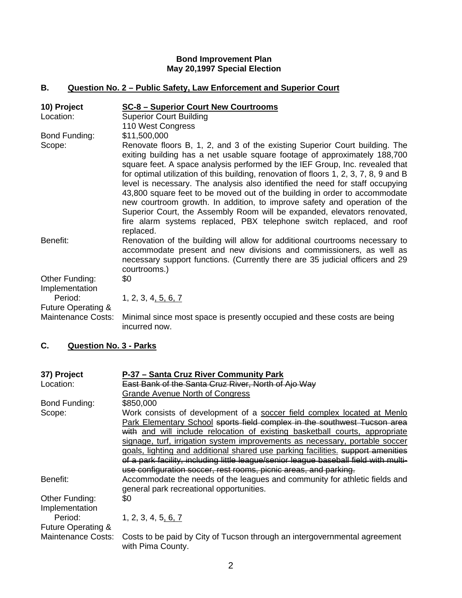### **Bond Improvement Plan May 20,1997 Special Election**

# **B. Question No. 2 – Public Safety, Law Enforcement and Superior Court**

| 10) Project<br>Location:                        | SC-8 - Superior Court New Courtrooms<br><b>Superior Court Building</b><br>110 West Congress                                                                                                                                                                                                                                                                                                                                                                                                                                                                                                                                                                                                                                                                    |
|-------------------------------------------------|----------------------------------------------------------------------------------------------------------------------------------------------------------------------------------------------------------------------------------------------------------------------------------------------------------------------------------------------------------------------------------------------------------------------------------------------------------------------------------------------------------------------------------------------------------------------------------------------------------------------------------------------------------------------------------------------------------------------------------------------------------------|
| Bond Funding:<br>Scope:                         | \$11,500,000<br>Renovate floors B, 1, 2, and 3 of the existing Superior Court building. The<br>exiting building has a net usable square footage of approximately 188,700<br>square feet. A space analysis performed by the IEF Group, Inc. revealed that<br>for optimal utilization of this building, renovation of floors 1, 2, 3, 7, 8, 9 and B<br>level is necessary. The analysis also identified the need for staff occupying<br>43,800 square feet to be moved out of the building in order to accommodate<br>new courtroom growth. In addition, to improve safety and operation of the<br>Superior Court, the Assembly Room will be expanded, elevators renovated,<br>fire alarm systems replaced, PBX telephone switch replaced, and roof<br>replaced. |
| Benefit:                                        | Renovation of the building will allow for additional courtrooms necessary to<br>accommodate present and new divisions and commissioners, as well as<br>necessary support functions. (Currently there are 35 judicial officers and 29<br>courtrooms.)                                                                                                                                                                                                                                                                                                                                                                                                                                                                                                           |
| Other Funding:<br>Implementation<br>Period:     | \$0<br>1, 2, 3, 4, 5, 6, 7                                                                                                                                                                                                                                                                                                                                                                                                                                                                                                                                                                                                                                                                                                                                     |
| Future Operating &<br><b>Maintenance Costs:</b> | Minimal since most space is presently occupied and these costs are being<br>incurred now.                                                                                                                                                                                                                                                                                                                                                                                                                                                                                                                                                                                                                                                                      |

# **C. Question No. 3 - Parks**

| 37) Project                   | P-37 - Santa Cruz River Community Park                                                         |
|-------------------------------|------------------------------------------------------------------------------------------------|
| Location:                     | East Bank of the Santa Cruz River, North of Ajo Way                                            |
|                               | <b>Grande Avenue North of Congress</b>                                                         |
| Bond Funding:                 | \$850,000                                                                                      |
| Scope:                        | Work consists of development of a soccer field complex located at Menlo                        |
|                               | Park Elementary School sports field complex in the southwest Tucson area                       |
|                               | with and will include relocation of existing basketball courts, appropriate                    |
|                               | signage, turf, irrigation system improvements as necessary, portable soccer                    |
|                               | goals, lighting and additional shared use parking facilities. support amenities                |
|                               | of a park facility, including little league/senior league baseball field with multi-           |
|                               | use configuration soccer, rest rooms, picnic areas, and parking.                               |
| Benefit:                      | Accommodate the needs of the leagues and community for athletic fields and                     |
|                               | general park recreational opportunities.                                                       |
| Other Funding:                | \$0                                                                                            |
| Implementation                |                                                                                                |
| Period:                       | 1, 2, 3, 4, 5, 6, 7                                                                            |
| <b>Future Operating &amp;</b> |                                                                                                |
| Maintenance Costs:            | Costs to be paid by City of Tucson through an intergovernmental agreement<br>with Pima County. |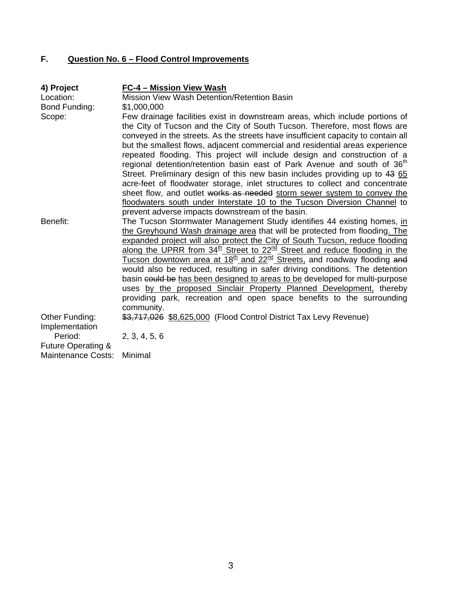# **F. Question No. 6 – Flood Control Improvements**

| 4) Project<br>Location:<br>Bond Funding:                              | FC-4 - Mission View Wash<br>Mission View Wash Detention/Retention Basin<br>\$1,000,000                                                                                                                                                                                                                                                                                                                                                                                                                                                                                                                                                                                                                                                                                                                                                                                         |
|-----------------------------------------------------------------------|--------------------------------------------------------------------------------------------------------------------------------------------------------------------------------------------------------------------------------------------------------------------------------------------------------------------------------------------------------------------------------------------------------------------------------------------------------------------------------------------------------------------------------------------------------------------------------------------------------------------------------------------------------------------------------------------------------------------------------------------------------------------------------------------------------------------------------------------------------------------------------|
| Scope:                                                                | Few drainage facilities exist in downstream areas, which include portions of<br>the City of Tucson and the City of South Tucson. Therefore, most flows are<br>conveyed in the streets. As the streets have insufficient capacity to contain all<br>but the smallest flows, adjacent commercial and residential areas experience<br>repeated flooding. This project will include design and construction of a<br>regional detention/retention basin east of Park Avenue and south of 36 <sup>th</sup><br>Street. Preliminary design of this new basin includes providing up to 43 65<br>acre-feet of floodwater storage, inlet structures to collect and concentrate<br>sheet flow, and outlet works as needed storm sewer system to convey the<br>floodwaters south under Interstate 10 to the Tucson Diversion Channel to<br>prevent adverse impacts downstream of the basin. |
| Benefit:                                                              | The Tucson Stormwater Management Study identifies 44 existing homes, in<br>the Greyhound Wash drainage area that will be protected from flooding. The<br>expanded project will also protect the City of South Tucson, reduce flooding<br>along the UPRR from 34 <sup>th</sup> Street to 22 <sup>nd</sup> Street and reduce flooding in the<br>Tucson downtown area at 18 <sup>th</sup> and 22 <sup>nd</sup> Streets, and roadway flooding and<br>would also be reduced, resulting in safer driving conditions. The detention<br>basin could be has been designed to areas to be developed for multi-purpose<br>uses by the proposed Sinclair Property Planned Development, thereby<br>providing park, recreation and open space benefits to the surrounding<br>community.                                                                                                      |
| Other Funding:<br>Implementation                                      | \$3,717,026 \$8,625,000 (Flood Control District Tax Levy Revenue)                                                                                                                                                                                                                                                                                                                                                                                                                                                                                                                                                                                                                                                                                                                                                                                                              |
| Period:<br><b>Future Operating &amp;</b><br><b>Maintenance Costs:</b> | 2, 3, 4, 5, 6<br>Minimal                                                                                                                                                                                                                                                                                                                                                                                                                                                                                                                                                                                                                                                                                                                                                                                                                                                       |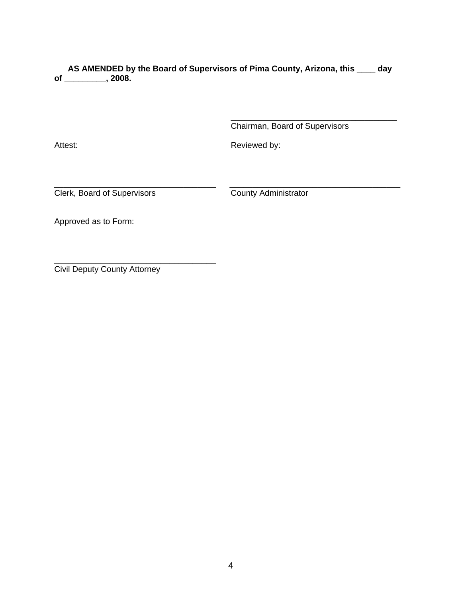**AS AMENDED by the Board of Supervisors of Pima County, Arizona, this \_\_\_\_ day of \_\_\_\_\_\_\_\_\_, 2008.** 

\_\_\_\_\_\_\_\_\_\_\_\_\_\_\_\_\_\_\_\_\_\_\_\_\_\_\_\_\_\_\_\_\_\_\_\_

Chairman, Board of Supervisors

Attest: **Reviewed by: Reviewed by:** 

\_\_\_\_\_\_\_\_\_\_\_\_\_\_\_\_\_\_\_\_\_\_\_\_\_\_\_\_\_\_\_\_\_\_\_ \_\_\_\_\_\_\_\_\_\_\_\_\_\_\_\_\_\_\_\_\_\_\_\_\_\_\_\_\_\_\_\_\_\_\_\_\_ Clerk, Board of Supervisors County Administrator

Approved as to Form:

Civil Deputy County Attorney

\_\_\_\_\_\_\_\_\_\_\_\_\_\_\_\_\_\_\_\_\_\_\_\_\_\_\_\_\_\_\_\_\_\_\_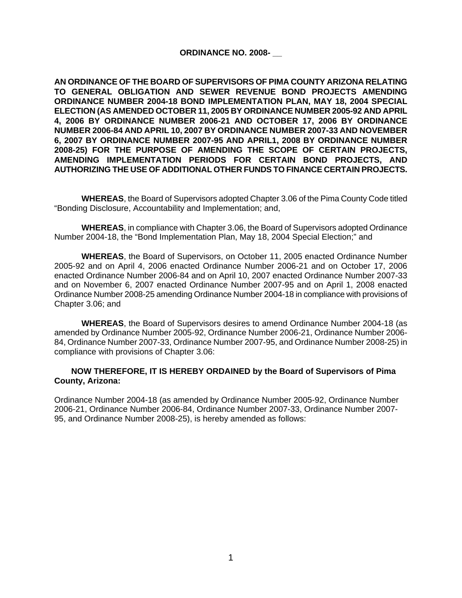### **ORDINANCE NO. 2008- \_\_**

**AN ORDINANCE OF THE BOARD OF SUPERVISORS OF PIMA COUNTY ARIZONA RELATING TO GENERAL OBLIGATION AND SEWER REVENUE BOND PROJECTS AMENDING ORDINANCE NUMBER 2004-18 BOND IMPLEMENTATION PLAN, MAY 18, 2004 SPECIAL ELECTION (AS AMENDED OCTOBER 11, 2005 BY ORDINANCE NUMBER 2005-92 AND APRIL 4, 2006 BY ORDINANCE NUMBER 2006-21 AND OCTOBER 17, 2006 BY ORDINANCE NUMBER 2006-84 AND APRIL 10, 2007 BY ORDINANCE NUMBER 2007-33 AND NOVEMBER 6, 2007 BY ORDINANCE NUMBER 2007-95 AND APRIL1, 2008 BY ORDINANCE NUMBER 2008-25) FOR THE PURPOSE OF AMENDING THE SCOPE OF CERTAIN PROJECTS, AMENDING IMPLEMENTATION PERIODS FOR CERTAIN BOND PROJECTS, AND AUTHORIZING THE USE OF ADDITIONAL OTHER FUNDS TO FINANCE CERTAIN PROJECTS.**

 **WHEREAS**, the Board of Supervisors adopted Chapter 3.06 of the Pima County Code titled "Bonding Disclosure, Accountability and Implementation; and,

**WHEREAS**, in compliance with Chapter 3.06, the Board of Supervisors adopted Ordinance Number 2004-18, the "Bond Implementation Plan, May 18, 2004 Special Election;" and

**WHEREAS**, the Board of Supervisors, on October 11, 2005 enacted Ordinance Number 2005-92 and on April 4, 2006 enacted Ordinance Number 2006-21 and on October 17, 2006 enacted Ordinance Number 2006-84 and on April 10, 2007 enacted Ordinance Number 2007-33 and on November 6, 2007 enacted Ordinance Number 2007-95 and on April 1, 2008 enacted Ordinance Number 2008-25 amending Ordinance Number 2004-18 in compliance with provisions of Chapter 3.06; and

**WHEREAS**, the Board of Supervisors desires to amend Ordinance Number 2004-18 (as amended by Ordinance Number 2005-92, Ordinance Number 2006-21, Ordinance Number 2006- 84, Ordinance Number 2007-33, Ordinance Number 2007-95, and Ordinance Number 2008-25) in compliance with provisions of Chapter 3.06:

### **NOW THEREFORE, IT IS HEREBY ORDAINED by the Board of Supervisors of Pima County, Arizona:**

Ordinance Number 2004-18 (as amended by Ordinance Number 2005-92, Ordinance Number 2006-21, Ordinance Number 2006-84, Ordinance Number 2007-33, Ordinance Number 2007- 95, and Ordinance Number 2008-25), is hereby amended as follows: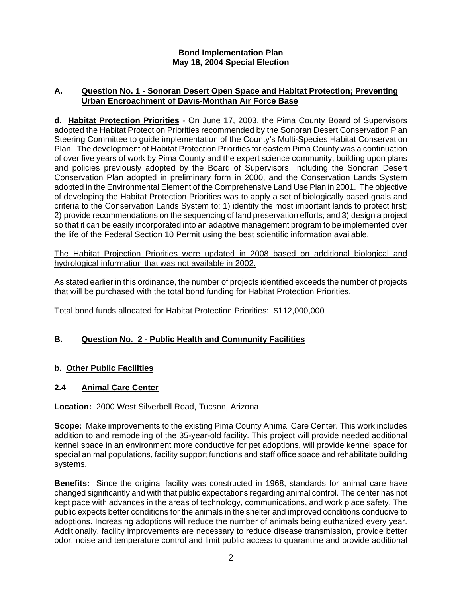# **Bond Implementation Plan May 18, 2004 Special Election**

# **A. Question No. 1 - Sonoran Desert Open Space and Habitat Protection; Preventing Urban Encroachment of Davis-Monthan Air Force Base**

**d. Habitat Protection Priorities** - On June 17, 2003, the Pima County Board of Supervisors adopted the Habitat Protection Priorities recommended by the Sonoran Desert Conservation Plan Steering Committee to guide implementation of the County's Multi-Species Habitat Conservation Plan. The development of Habitat Protection Priorities for eastern Pima County was a continuation of over five years of work by Pima County and the expert science community, building upon plans and policies previously adopted by the Board of Supervisors, including the Sonoran Desert Conservation Plan adopted in preliminary form in 2000, and the Conservation Lands System adopted in the Environmental Element of the Comprehensive Land Use Plan in 2001. The objective of developing the Habitat Protection Priorities was to apply a set of biologically based goals and criteria to the Conservation Lands System to: 1) identify the most important lands to protect first; 2) provide recommendations on the sequencing of land preservation efforts; and 3) design a project so that it can be easily incorporated into an adaptive management program to be implemented over the life of the Federal Section 10 Permit using the best scientific information available.

The Habitat Projection Priorities were updated in 2008 based on additional biological and hydrological information that was not available in 2002.

As stated earlier in this ordinance, the number of projects identified exceeds the number of projects that will be purchased with the total bond funding for Habitat Protection Priorities.

Total bond funds allocated for Habitat Protection Priorities: \$112,000,000

# **B. Question No. 2 - Public Health and Community Facilities**

# **b. Other Public Facilities**

# **2.4 Animal Care Center**

**Location:** 2000 West Silverbell Road, Tucson, Arizona

**Scope:** Make improvements to the existing Pima County Animal Care Center. This work includes addition to and remodeling of the 35-year-old facility. This project will provide needed additional kennel space in an environment more conductive for pet adoptions, will provide kennel space for special animal populations, facility support functions and staff office space and rehabilitate building systems.

**Benefits:** Since the original facility was constructed in 1968, standards for animal care have changed significantly and with that public expectations regarding animal control. The center has not kept pace with advances in the areas of technology, communications, and work place safety. The public expects better conditions for the animals in the shelter and improved conditions conducive to adoptions. Increasing adoptions will reduce the number of animals being euthanized every year. Additionally, facility improvements are necessary to reduce disease transmission, provide better odor, noise and temperature control and limit public access to quarantine and provide additional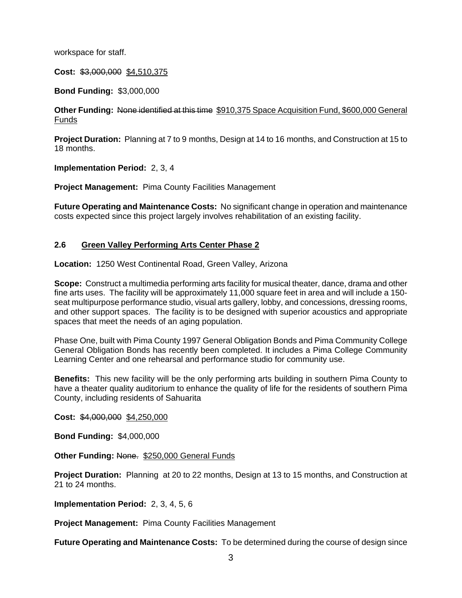workspace for staff.

**Cost:** \$3,000,000 \$4,510,375

**Bond Funding:** \$3,000,000

**Other Funding:** None identified at this time \$910,375 Space Acquisition Fund, \$600,000 General Funds

**Project Duration:** Planning at 7 to 9 months, Design at 14 to 16 months, and Construction at 15 to 18 months.

**Implementation Period:** 2, 3, 4

**Project Management:** Pima County Facilities Management

**Future Operating and Maintenance Costs:** No significant change in operation and maintenance costs expected since this project largely involves rehabilitation of an existing facility.

# **2.6 Green Valley Performing Arts Center Phase 2**

**Location:** 1250 West Continental Road, Green Valley, Arizona

**Scope:** Construct a multimedia performing arts facility for musical theater, dance, drama and other fine arts uses. The facility will be approximately 11,000 square feet in area and will include a 150 seat multipurpose performance studio, visual arts gallery, lobby, and concessions, dressing rooms, and other support spaces. The facility is to be designed with superior acoustics and appropriate spaces that meet the needs of an aging population.

Phase One, built with Pima County 1997 General Obligation Bonds and Pima Community College General Obligation Bonds has recently been completed. It includes a Pima College Community Learning Center and one rehearsal and performance studio for community use.

**Benefits:** This new facility will be the only performing arts building in southern Pima County to have a theater quality auditorium to enhance the quality of life for the residents of southern Pima County, including residents of Sahuarita

**Cost:** \$4,000,000 \$4,250,000

**Bond Funding:** \$4,000,000

**Other Funding: None. \$250,000 General Funds** 

**Project Duration:** Planning at 20 to 22 months, Design at 13 to 15 months, and Construction at 21 to 24 months.

**Implementation Period:** 2, 3, 4, 5, 6

**Project Management:** Pima County Facilities Management

**Future Operating and Maintenance Costs:** To be determined during the course of design since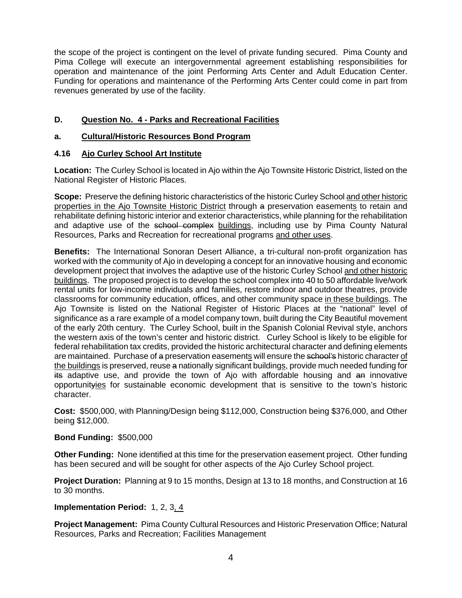the scope of the project is contingent on the level of private funding secured. Pima County and Pima College will execute an intergovernmental agreement establishing responsibilities for operation and maintenance of the joint Performing Arts Center and Adult Education Center. Funding for operations and maintenance of the Performing Arts Center could come in part from revenues generated by use of the facility.

# **D. Question No. 4 - Parks and Recreational Facilities**

# **a. Cultural/Historic Resources Bond Program**

# **4.16 Ajo Curley School Art Institute**

**Location:** The Curley School is located in Ajo within the Ajo Townsite Historic District, listed on the National Register of Historic Places.

**Scope:** Preserve the defining historic characteristics of the historic Curley School and other historic properties in the Ajo Townsite Historic District through a preservation easements to retain and rehabilitate defining historic interior and exterior characteristics, while planning for the rehabilitation and adaptive use of the school complex buildings, including use by Pima County Natural Resources, Parks and Recreation for recreational programs and other uses.

**Benefits:** The International Sonoran Desert Alliance, a tri-cultural non-profit organization has worked with the community of Ajo in developing a concept for an innovative housing and economic development project that involves the adaptive use of the historic Curley School and other historic buildings. The proposed project is to develop the school complex into 40 to 50 affordable live/work rental units for low-income individuals and families, restore indoor and outdoor theatres, provide classrooms for community education, offices, and other community space in these buildings. The Ajo Townsite is listed on the National Register of Historic Places at the "national" level of significance as a rare example of a model company town, built during the City Beautiful movement of the early 20th century. The Curley School, built in the Spanish Colonial Revival style, anchors the western axis of the town's center and historic district. Curley School is likely to be eligible for federal rehabilitation tax credits, provided the historic architectural character and defining elements are maintained. Purchase of a preservation easements will ensure the school's historic character of the buildings is preserved, reuse a nationally significant buildings, provide much needed funding for its adaptive use, and provide the town of Ajo with affordable housing and an innovative opportunityies for sustainable economic development that is sensitive to the town's historic character.

**Cost:** \$500,000, with Planning/Design being \$112,000, Construction being \$376,000, and Other being \$12,000.

# **Bond Funding:** \$500,000

**Other Funding:** None identified at this time for the preservation easement project. Other funding has been secured and will be sought for other aspects of the Ajo Curley School project.

**Project Duration:** Planning at 9 to 15 months, Design at 13 to 18 months, and Construction at 16 to 30 months.

# **Implementation Period:** 1, 2, 3, 4

**Project Management:** Pima County Cultural Resources and Historic Preservation Office; Natural Resources, Parks and Recreation; Facilities Management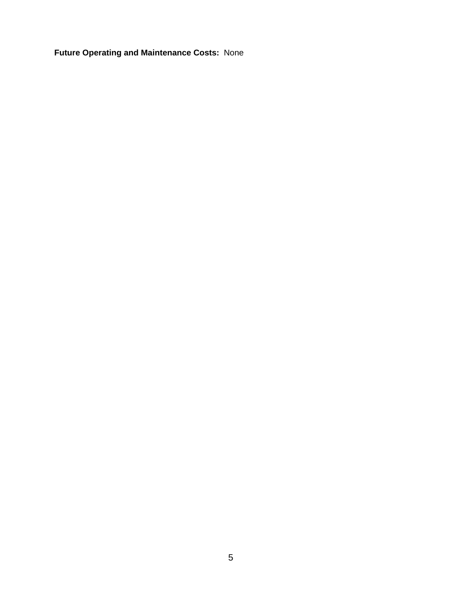**Future Operating and Maintenance Costs:** None